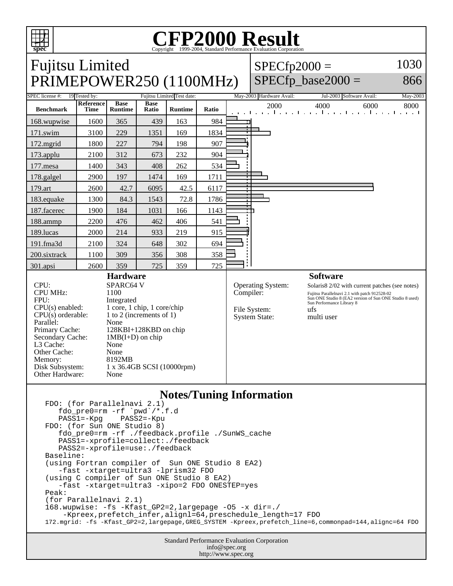

## **Notes/Tuning Information**

```
FDO: (for Parallelnavi 2.1)
   fdo_pre0=rm -rf `pwd`/*.f.d<br>PASS1=-Kpg PASS2=-Kpu
   PASS1=-KpgFDO: (for Sun ONE Studio 8)
    fdo_pre0=rm -rf ./feedback.profile ./SunWS_cache
    PASS1=-xprofile=collect:./feedback
    PASS2=-xprofile=use:./feedback
Baseline:
(using Fortran compiler of Sun ONE Studio 8 EA2)
    -fast -xtarget=ultra3 -lprism32 FDO
(using C compiler of Sun ONE Studio 8 EA2)
    -fast -xtarget=ultra3 -xipo=2 FDO ONESTEP=yes
Peak:
(for Parallelnavi 2.1)
168.wupwise: -fs -Kfast_GP2=2,largepage -O5 -x dir=./ 
     -Kpreex,prefetch_infer,alignl=64,preschedule_length=17 FDO
172.mgrid: -fs -Kfast_GP2=2,largepage,GREG_SYSTEM -Kpreex,prefetch_line=6,commonpad=144,alignc=64 FDO
```
Standard Performance Evaluation Corporation info@spec.org http://www.spec.org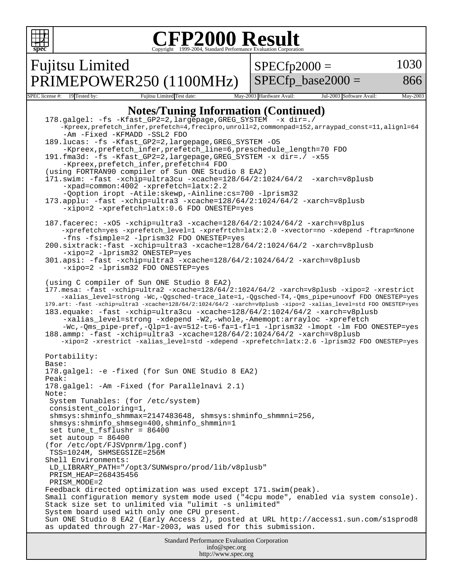```
Standard Performance Evaluation Corporation
                                          info@spec.org
                                        http://www.spec.org
 spec
                             Copyright ©1999-2004, Standard Performance Evaluation Corporation
Fujitsu Limited
PRIMEPOWER250 (1100MHz)
                                                     SPECfp2000 =SPECfp base2000 =1030
                                                                                         866
SPEC license #: 19 Tested by: Fujitsu Limited Test date: May-2003 Hardware Avail: Jul-2003 Software Avail: May-2003
                       Notes/Tuning Information (Continued)
   178.galgel: -fs -Kfast_GP2=2,largepage,GREG_SYSTEM -x dir=./ 
        -Kpreex,prefetch_infer,prefetch=4,frecipro,unroll=2,commonpad=152,arraypad_const=11,alignl=64
         -Am -Fixed -KFMADD -SSL2 FDO
   189.lucas: -fs -Kfast_GP2=2,largepage,GREG_SYSTEM -O5 
         -Kpreex,prefetch_infer,prefetch_line=6,preschedule_length=70 FDO
   191.fma3d: -fs -Kfast_GP2=2,largepage,GREG_SYSTEM -x dir=./ -x55 
         -Kpreex,prefetch_infer,prefetch=4 FDO
   (using FORTRAN90 compiler of Sun ONE Studio 8 EA2)
   171.swim: -fast -xchip=ultra3cu -xcache=128/64/2:1024/64/2 -xarch=v8plusb 
         -xpad=common:4002 -xprefetch=latx:2.2
         -Qoption iropt -Atile:skewp,-Ainline:cs=700 -lprism32
   173.applu: -fast -xchip=ultra3 -xcache=128/64/2:1024/64/2 -xarch=v8plusb 
         -xipo=2 -xprefetch=latx:0.6 FDO ONESTEP=yes
   187.facerec: -xO5 -xchip=ultra3 -xcache=128/64/2:1024/64/2 -xarch=v8plus 
        -xprefetch=yes -xprefetch_level=1 -xprefrtch=latx:2.0 -xvector=no -xdepend -ftrap=%none 
         -fns -fsimple=2 -lprism32 FDO ONESTEP=yes
   200.sixtrack:-fast -xchip=ultra3 -xcache=128/64/2:1024/64/2 -xarch=v8plusb 
         -xipo=2 -lprism32 ONESTEP=yes
   301.apsi: -fast -xchip=ultra3 -xcache=128/64/2:1024/64/2 -xarch=v8plusb 
         -xipo=2 -lprism32 FDO ONESTEP=yes
   (using C compiler of Sun ONE Studio 8 EA2)
   177.mesa: -fast -xchip=ultra2 -xcache=128/64/2:1024/64/2 -xarch=v8plusb -xipo=2 -xrestrict 
        -xalias_level=strong -Wc,-Qgsched-trace_late=1,-Qgsched-T4,-Qms_pipe+unoovf FDO ONESTEP=yes
   179.art: -fast -xchip=ultra3 -xcache=128/64/2:1024/64/2 -xarch=v8plusb -xipo=2 -xalias_level=std FDO ONESTEP=yes
   183.equake: -fast -xchip=ultra3cu -xcache=128/64/2:1024/64/2 -xarch=v8plusb 
         -xalias_level=strong -xdepend -W2,-whole,-Amemopt:arrayloc -xprefetch 
        -Wc,-Qms_pipe-pref,-Qlp=1-av=512-t=6-fa=1-fl=1 -lprism32 -lmopt -lm FDO ONESTEP=yes
   188.ammp: -fast -xchip=ultra3 -xcache=128/64/2:1024/64/2 -xarch=v8plusb 
        -xipo=2 -xrestrict -xalias_level=std -xdepend -xprefetch=latx:2.6 -lprism32 FDO ONESTEP=yes
   Portability:
   Base:
   178.galgel: -e -fixed (for Sun ONE Studio 8 EA2)
   Peak:
   178.galgel: -Am -Fixed (for Parallelnavi 2.1)
   Note:
     System Tunables: (for /etc/system)
     consistent_coloring=1,
     shmsys:shminfo_shmmax=2147483648, shmsys:shminfo_shmmni=256, 
     shmsys:shminfo_shmseg=400,shminfo_shmmin=1
     set tune_t_fsflushr = 86400
     set autoup = 86400
   (for /etc/opt/FJSVpnrm/lpg.conf)
     TSS=1024M, SHMSEGSIZE=256M 
   Shell Environments:
     LD_LIBRARY_PATH="/opt3/SUNWspro/prod/lib/v8plusb"
     PRISM_HEAP=268435456
     PRISM_MODE=2
   Feedback directed optimization was used except 171.swim(peak).
   Small configuration memory system mode used ("4cpu mode", enabled via system console).
   Stack size set to unlimited via "ulimit -s unlimited"
   System board used with only one CPU present.
   Sun ONE Studio 8 EA2 (Early Access 2), posted at URL http://access1.sun.com/s1sprod8
   as updated through 27-Mar-2003, was used for this submission.
```